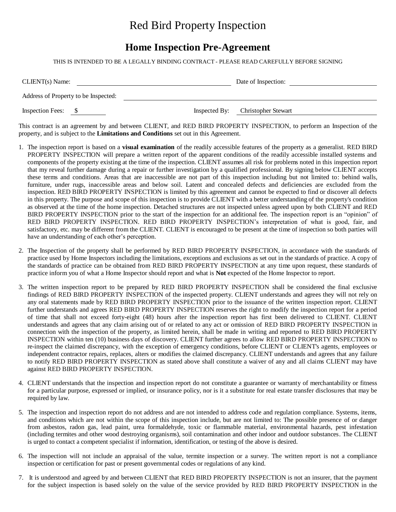## Red Bird Property Inspection

## **Home Inspection Pre-Agreement**

THIS IS INTENDED TO BE A LEGALLY BINDING CONTRACT - PLEASE READ CAREFULLY BEFORE SIGNING

| CLIENT(s) Name:                      | Date of Inspection:               |
|--------------------------------------|-----------------------------------|
| Address of Property to be Inspected: |                                   |
| <b>Inspection Fees:</b><br>- \$      | Inspected By: Christopher Stewart |

This contract is an agreement by and between CLIENT, and RED BIRD PROPERTY INSPECTION, to perform an Inspection of the property, and is subject to the **Limitations and Conditions** set out in this Agreement.

- 1. The inspection report is based on a **visual examination** of the readily accessible features of the property as a generalist. RED BIRD PROPERTY INSPECTION will prepare a written report of the apparent conditions of the readily accessible installed systems and components of the property existing at the time of the inspection. CLIENT assumes all risk for problems noted in this inspection report that my reveal further damage during a repair or further investigation by a qualified professional. By signing below CLIENT accepts these terms and conditions. Areas that are inaccessible are not part of this inspection including but not limited to: behind walls, furniture, under rugs, inaccessible areas and below soil. Latent and concealed defects and deficiencies are excluded from the inspection. RED BIRD PROPERTY INSPECTION is limited by this agreement and cannot be expected to find or discover all defects in this property. The purpose and scope of this inspection is to provide CLIENT with a better understanding of the property's condition as observed at the time of the home inspection. Detached structures are not inspected unless agreed upon by both CLIENT and RED BIRD PROPERTY INSPECTION prior to the start of the inspection for an additional fee. The inspection report is an "opinion" of RED BIRD PROPERTY INSPECTION. RED BIRD PROPERTY INSPECTION's interpretation of what is good, fair, and satisfactory, etc. may be different from the CLIENT. CLIENT is encouraged to be present at the time of inspection so both parties will have an understanding of each other's perception.
- 2. The Inspection of the property shall be performed by RED BIRD PROPERTY INSPECTION, in accordance with the standards of practice used by Home Inspectors including the limitations, exceptions and exclusions as set out in the standards of practice. A copy of the standards of practice can be obtained from RED BIRD PROPERTY INSPECTION at any time upon request, these standards of practice inform you of what a Home Inspector should report and what is **Not** expected of the Home Inspector to report.
- 3. The written inspection report to be prepared by RED BIRD PROPERTY INSPECTION shall be considered the final exclusive findings of RED BIRD PROPERTY INSPECTION of the inspected property. CLIENT understands and agrees they will not rely on any oral statements made by RED BIRD PROPERTY INSPECTION prior to the issuance of the written inspection report. CLIENT further understands and agrees RED BIRD PROPERTY INSPECTION reserves the right to modify the inspection report for a period of time that shall not exceed forty-eight (48) hours after the inspection report has first been delivered to CLIENT. CLIENT understands and agrees that any claim arising out of or related to any act or omission of RED BIRD PROPERTY INSPECTION in connection with the inspection of the property, as limited herein, shall be made in writing and reported to RED BIRD PROPERTY INSPECTION within ten (10) business days of discovery. CLIENT further agrees to allow RED BIRD PROPERTY INSPECTION to re-inspect the claimed discrepancy, with the exception of emergency conditions, before CLIENT or CLIENT's agents, employees or independent contractor repairs, replaces, alters or modifies the claimed discrepancy. CLIENT understands and agrees that any failure to notify RED BIRD PROPERTY INSPECTION as stated above shall constitute a waiver of any and all claims CLIENT may have against RED BIRD PROPERTY INSPECTION.
- 4. CLIENT understands that the inspection and inspection report do not constitute a guarantee or warranty of merchantability or fitness for a particular purpose, expressed or implied, or insurance policy, nor is it a substitute for real estate transfer disclosures that may be required by law.
- 5. The inspection and inspection report do not address and are not intended to address code and regulation compliance. Systems, items, and conditions which are not within the scope of this inspection include, but are not limited to: The possible presence of or danger from asbestos, radon gas, lead paint, urea formaldehyde, toxic or flammable material, environmental hazards, pest infestation (including termites and other wood destroying organisms), soil contamination and other indoor and outdoor substances. The CLIENT is urged to contact a competent specialist if information, identification, or testing of the above is desired.
- 6. The inspection will not include an appraisal of the value, termite inspection or a survey. The written report is not a compliance inspection or certification for past or present governmental codes or regulations of any kind.
- 7. It is understood and agreed by and between CLIENT that RED BIRD PROPERTY INSPECTION is not an insurer, that the payment for the subject inspection is based solely on the value of the service provided by RED BIRD PROPERTY INSPECTION in the